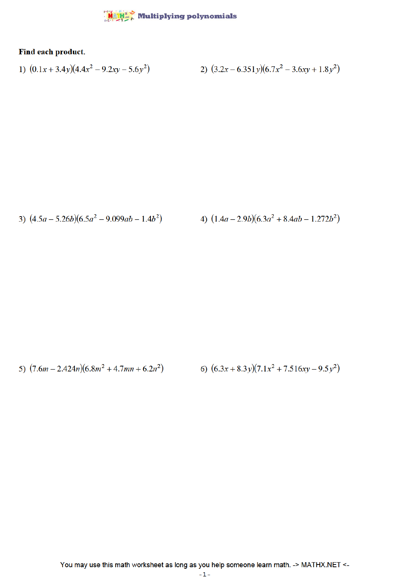## $\frac{\text{MAPH}^*}{\text{MAPH}}$  Multiplying polynomials

## Find each product.

1) 
$$
(0.1x + 3.4y)(4.4x^2 - 9.2xy - 5.6y^2)
$$
  
2)  $(3.2x - 6.351y)(6.7x^2 - 3.6xy + 1.8y^2)$ 

3) 
$$
(4.5a - 5.26b)(6.5a^2 - 9.099ab - 1.4b^2)
$$
   
4)  $(1.4a - 2.9b)(6.3a^2 + 8.4ab - 1.272b^2)$ 

5) 
$$
(7.6m - 2.424n)(6.8m^2 + 4.7mn + 6.2n^2)
$$
 6)  $(6.3x + 8.3y)(7.1x^2 + 7.516xy - 9.5y^2)$ 

You may use this math worksheet as long as you help someone learn math. -> MATHX.NET <-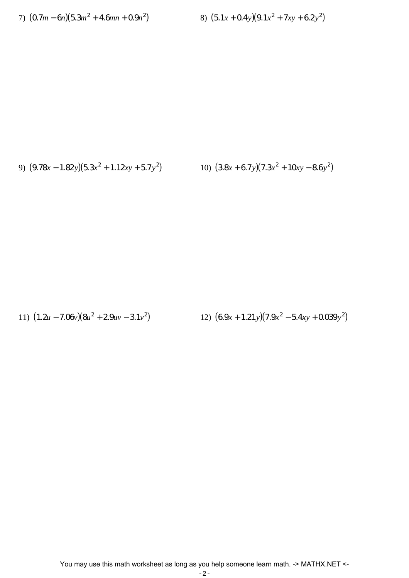7) 
$$
(0.7m - 6n)(5.3m^2 + 4.6mn + 0.9n^2)
$$

 $(5.1x + 0.4y)(9.1x^2 + 7xy + 6.2y^2)$ 

9) 
$$
(9.78x - 1.82y)(5.3x^2 + 1.12xy + 5.7y^2)
$$

$$
(3.8x + 6.7y)(7.3x2 + 10xy - 8.6y2)
$$

11)  $(1.2u - 7.06v)(8u^2 + 2.9uv - 3.1v^2)$ 

(6.9*x* + 1.21*y*)(7.9*x*<sup>2</sup> – 5.4*xy* + 0.039*y*<sup>2</sup>)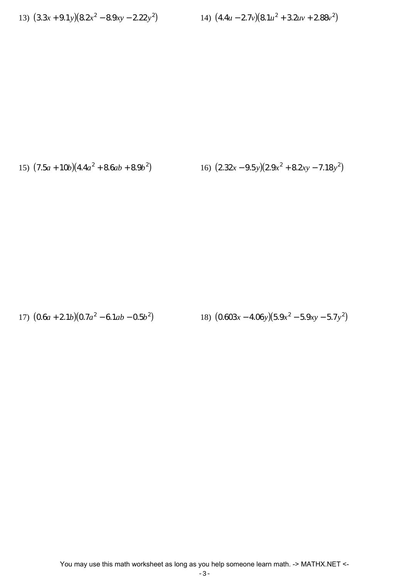13) 
$$
(3.3x + 9.1y)(8.2x^2 - 8.9xy - 2.22y^2)
$$

14) 
$$
(4.4u - 2.7v)(8.1u^2 + 3.2uv + 2.88v^2)
$$

15) 
$$
(7.5a + 10b)(4.4a^2 + 8.6ab + 8.9b^2)
$$
  
16)  $(2.32x - 9.5y)(2.9x^2 + 8.2xy - 7.18y^2)$ 

18)  $(0.603x - 4.06y)(5.9x^2 - 5.9xy - 5.7y^2)$ 17)  $(0.6a + 2.1b)(0.7a^2 - 6.1ab - 0.5b^2)$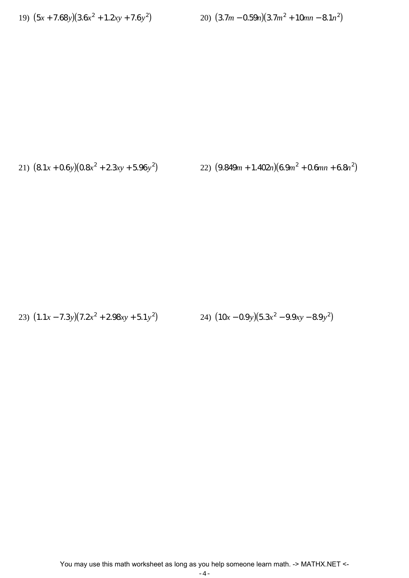19) 
$$
(5x + 7.68y)(3.6x^2 + 1.2xy + 7.6y^2)
$$

$$
(3.7m - 0.59n)(3.7m2 + 10mn - 8.1n2)
$$

21) 
$$
(8.1x + 0.6y)(0.8x^2 + 2.3xy + 5.96y^2)
$$
  
22)  $(9.849m + 1.402n)(6.9m^2 + 0.6mn + 6.8n^2)$ 

23)  $(1.1x - 7.3y)(7.2x^2 + 2.98xy + 5.1y^2)$  $(10x - 0.9y)(5.3x^2 - 9.9xy - 8.9y^2)$ 

You may use this math worksheet as long as you help someone learn math. -> MATHX.NET <-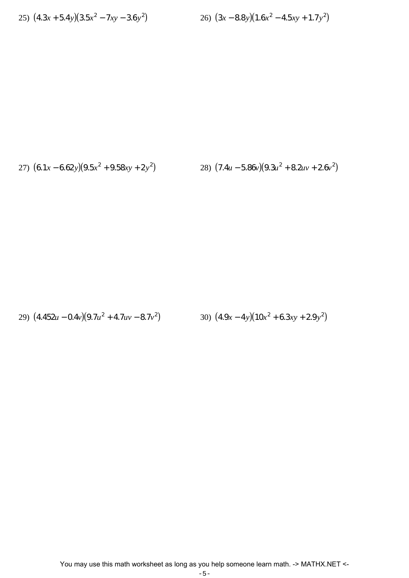25) 
$$
(4.3x + 5.4y)(3.5x^2 - 7xy - 3.6y^2)
$$

$$
(3x - 8.8y)(1.6x2 - 4.5xy + 1.7y2)
$$

27) 
$$
(6.1x - 6.62y)(9.5x^2 + 9.58xy + 2y^2)
$$
  
28)  $(7.4u - 5.86y)(9.3u^2 + 8.2uv + 2.6v^2)$ 

29) 
$$
(4.452u - 0.4v)(9.7u^2 + 4.7uv - 8.7v^2)
$$
  
30)  $(4.9x - 4y)(10x^2 + 6.3xy + 2.9y^2)$